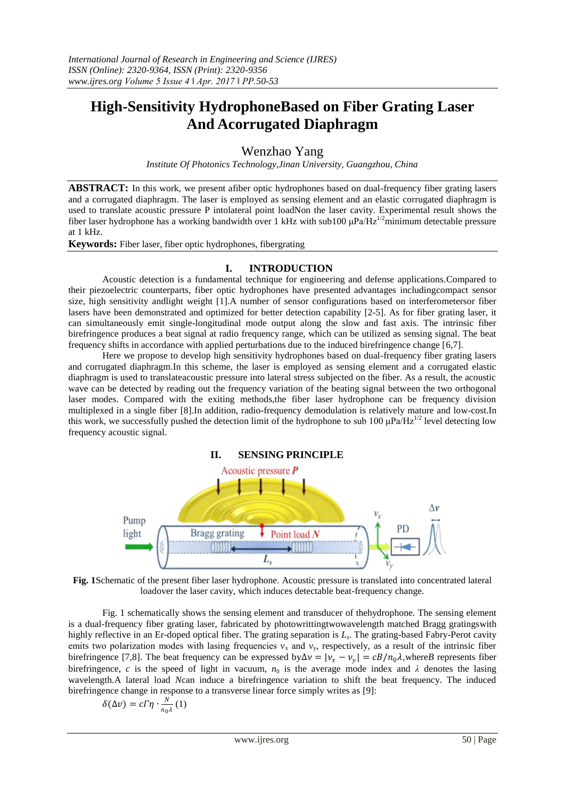# **High-Sensitivity HydrophoneBased on Fiber Grating Laser And Acorrugated Diaphragm**

## Wenzhao Yang

*Institute Of Photonics Technology,Jinan University, Guangzhou, China*

**ABSTRACT:** In this work, we present afiber optic hydrophones based on dual-frequency fiber grating lasers and a corrugated diaphragm. The laser is employed as sensing element and an elastic corrugated diaphragm is used to translate acoustic pressure P intolateral point loadNon the laser cavity. Experimental result shows the fiber laser hydrophone has a working bandwidth over 1 kHz with sub100  $\mu$ Pa/Hz<sup>1/2</sup>minimum detectable pressure at 1 kHz.

**Keywords:** Fiber laser, fiber optic hydrophones, fibergrating

## **I. INTRODUCTION**

Acoustic detection is a fundamental technique for engineering and defense applications.Compared to their piezoelectric counterparts, fiber optic hydrophones have presented advantages includingcompact sensor size, high sensitivity andlight weight [1].A number of sensor configurations based on interferometersor fiber lasers have been demonstrated and optimized for better detection capability [2-5]. As for fiber grating laser, it can simultaneously emit single-longitudinal mode output along the slow and fast axis. The intrinsic fiber birefringence produces a beat signal at radio frequency range, which can be utilized as sensing signal. The beat frequency shifts in accordance with applied perturbations due to the induced birefringence change [6,7].

Here we propose to develop high sensitivity hydrophones based on dual-frequency fiber grating lasers and corrugated diaphragm.In this scheme, the laser is employed as sensing element and a corrugated elastic diaphragm is used to translateacoustic pressure into lateral stress subjected on the fiber. As a result, the acoustic wave can be detected by reading out the frequency variation of the beating signal between the two orthogonal laser modes. Compared with the exiting methods,the fiber laser hydrophone can be frequency division multiplexed in a single fiber [8].In addition, radio-frequency demodulation is relatively mature and low-cost.In this work, we successfully pushed the detection limit of the hydrophone to sub 100  $\mu$ Pa/Hz<sup>1/2</sup> level detecting low frequency acoustic signal.



**Fig. 1**Schematic of the present fiber laser hydrophone. Acoustic pressure is translated into concentrated lateral loadover the laser cavity, which induces detectable beat-frequency change.

Fig. 1 schematically shows the sensing element and transducer of thehydrophone. The sensing element is a dual-frequency fiber grating laser, fabricated by photowrittingtwowavelength matched Bragg gratingswith highly reflective in an Er-doped optical fiber. The grating separation is *L<sup>s</sup>* . The grating-based Fabry-Perot cavity emits two polarization modes with lasing frequencies  $v_x$  and  $v_y$ , respectively, as a result of the intrinsic fiber birefringence [7,8]. The beat frequency can be expressed by $\Delta v = |v_x - v_y| = cB/n_0\lambda$ , where *B* represents fiber birefringence, *c* is the speed of light in vacuum,  $n_0$  is the average mode index and  $\lambda$  denotes the lasing wavelength.A lateral load *N*can induce a birefringence variation to shift the beat frequency. The induced birefringence change in response to a transverse linear force simply writes as [9]:

$$
\delta(\Delta v) = c\Gamma \eta \cdot \frac{N}{n_0 \lambda}(1)
$$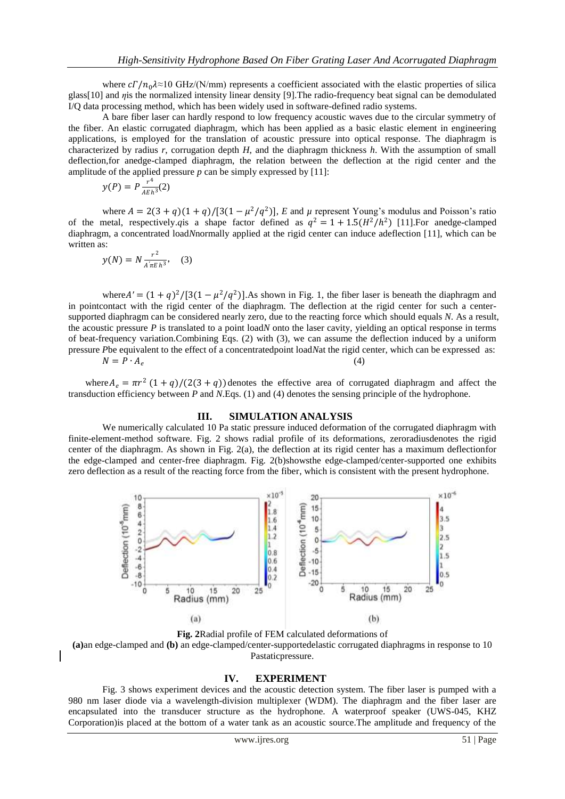where  $c\Gamma/n_0\lambda \approx 10$  GHz/(N/mm) represents a coefficient associated with the elastic properties of silica glass[10] and *η*is the normalized intensity linear density [9].The radio-frequency beat signal can be demodulated I/Q data processing method, which has been widely used in software-defined radio systems.

A bare fiber laser can hardly respond to low frequency acoustic waves due to the circular symmetry of the fiber. An elastic corrugated diaphragm, which has been applied as a basic elastic element in engineering applications, is employed for the translation of acoustic pressure into optical response. The diaphragm is characterized by radius *r*, corrugation depth *H*, and the diaphragm thickness *h*. With the assumption of small deflection,for anedge-clamped diaphragm, the relation between the deflection at the rigid center and the amplitude of the applied pressure  $p$  can be simply expressed by [11]:

$$
y(P) = P \frac{r^4}{A E h^3}(2)
$$

where  $A = 2(3 + q)(1 + q)/[3(1 - \mu^2/q^2)]$ , *E* and  $\mu$  represent Young's modulus and Poisson's ratio of the metal, respectively.*q*is a shape factor defined as  $q^2 = 1 + 1.5(H^2/h^2)$  [11]. For anedge-clamped diaphragm, a concentrated load*N*normally applied at the rigid center can induce adeflection [11], which can be written as:

$$
y(N) = N \frac{r^2}{A' \pi E h^3}, \quad (3)
$$

where $A' = (1 + q)^2/[3(1 - \mu^2/q^2)]$ . As shown in Fig. 1, the fiber laser is beneath the diaphragm and in pointcontact with the rigid center of the diaphragm. The deflection at the rigid center for such a centersupported diaphragm can be considered nearly zero, due to the reacting force which should equals *N*. As a result, the acoustic pressure *P* is translated to a point load*N* onto the laser cavity, yielding an optical response in terms of beat-frequency variation.Combining Eqs. (2) with (3), we can assume the deflection induced by a uniform pressure *P*be equivalent to the effect of a concentratedpoint load*N*at the rigid center, which can be expressed as: (4)

 $N = P \cdot A_e$ 

where  $A_e = \pi r^2 (1 + q)/(2(3 + q))$  denotes the effective area of corrugated diaphragm and affect the transduction efficiency between *P* and *N*.Eqs. (1) and (4) denotes the sensing principle of the hydrophone.

#### **III. SIMULATION ANALYSIS**

We numerically calculated 10 Pa static pressure induced deformation of the corrugated diaphragm with finite-element-method software. Fig. 2 shows radial profile of its deformations, zeroradiusdenotes the rigid center of the diaphragm. As shown in Fig. 2(a), the deflection at its rigid center has a maximum deflectionfor the edge-clamped and center-free diaphragm. Fig. 2(b)showsthe edge-clamped/center-supported one exhibits zero deflection as a result of the reacting force from the fiber, which is consistent with the present hydrophone.



**Fig. 2**Radial profile of FEM calculated deformations of **(a)**an edge-clamped and **(b)** an edge-clamped/center-supportedelastic corrugated diaphragms in response to 10 Pastaticpressure.

## **IV. EXPERIMENT**

Fig. 3 shows experiment devices and the acoustic detection system. The fiber laser is pumped with a 980 nm laser diode via a wavelength-division multiplexer (WDM). The diaphragm and the fiber laser are encapsulated into the transducer structure as the hydrophone. A waterproof speaker (UWS-045, KHZ Corporation)is placed at the bottom of a water tank as an acoustic source.The amplitude and frequency of the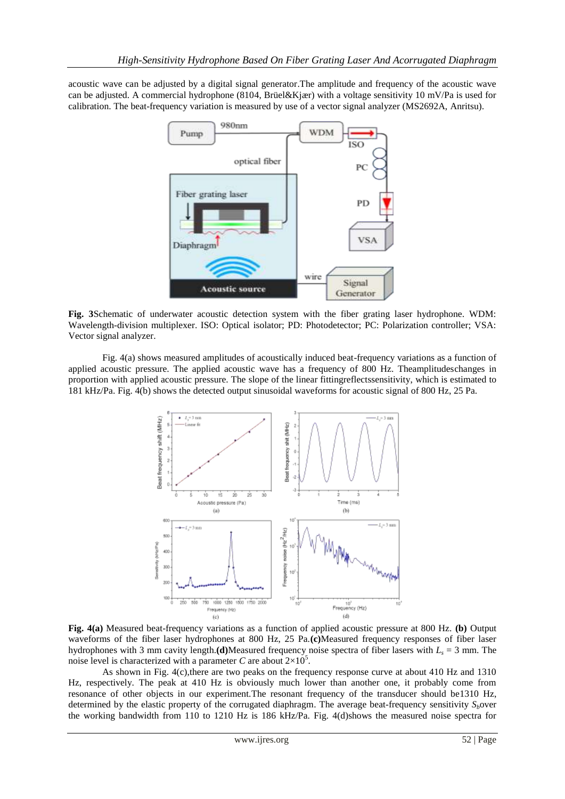acoustic wave can be adjusted by a digital signal generator.The amplitude and frequency of the acoustic wave can be adjusted. A commercial hydrophone (8104, Brüel&Kjær) with a voltage sensitivity 10 mV/Pa is used for calibration. The beat-frequency variation is measured by use of a vector signal analyzer (MS2692A, Anritsu).



**Fig. 3**Schematic of underwater acoustic detection system with the fiber grating laser hydrophone. WDM: Wavelength-division multiplexer. ISO: Optical isolator; PD: Photodetector; PC: Polarization controller; VSA: Vector signal analyzer.

Fig. 4(a) shows measured amplitudes of acoustically induced beat-frequency variations as a function of applied acoustic pressure. The applied acoustic wave has a frequency of 800 Hz. Theamplitudeschanges in proportion with applied acoustic pressure. The slope of the linear fittingreflectssensitivity, which is estimated to 181 kHz/Pa. Fig. 4(b) shows the detected output sinusoidal waveforms for acoustic signal of 800 Hz, 25 Pa.



**Fig. 4(a)** Measured beat-frequency variations as a function of applied acoustic pressure at 800 Hz. **(b)** Output waveforms of the fiber laser hydrophones at 800 Hz, 25 Pa.**(c)**Measured frequency responses of fiber laser hydrophones with 3 mm cavity length.**(d)**Measured frequency noise spectra of fiber lasers with *L<sup>s</sup>* = 3 mm. The noise level is characterized with a parameter *C* are about  $2 \times 10^5$ .

As shown in Fig. 4(c),there are two peaks on the frequency response curve at about 410 Hz and 1310 Hz, respectively. The peak at 410 Hz is obviously much lower than another one, it probably come from resonance of other objects in our experiment.The resonant frequency of the transducer should be1310 Hz, determined by the elastic property of the corrugated diaphragm. The average beat-frequency sensitivity *Sb*over the working bandwidth from 110 to 1210 Hz is 186 kHz/Pa. Fig. 4(d)shows the measured noise spectra for